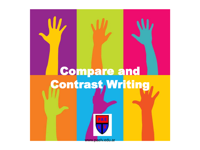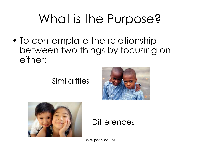### What is the Purpose?

• To contemplate the relationship between two things by focusing on either:

### Similarities





### **Differences**

www.paelv.edu.ar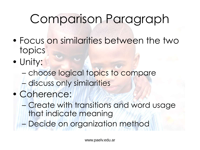### Comparison Paragraph

- Focus on similarities between the two topics
- Unity:
	- choose logical topics to compare – discuss only similarities
- Coherence:
	- Create with transitions and word usage that indicate meaning
	- Decide on organization method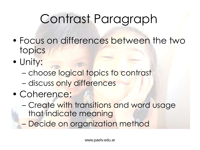### Contrast Paragraph

- Focus on differences between the two topics
- Unity:
	- choose logical topics to contrast – discuss only differences
- Coherence:
	- Create with transitions and word usage that indicate meaning
	- Decide on organization method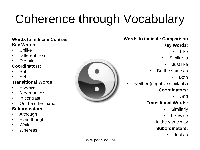# Coherence through Vocabulary

#### **Words to indicate Contrast Key Words:**

- Unlike
- Different from
- Despite

#### **Coordinators:**

- But
- Yet

#### **Transitional Words:**

- However
- Nevertheless
- In contrast
- On the other hand

#### **Subordinators:**

- Although
- Even though
- While
- **Whereas**



### **Words to indicate Comparison Key Words:**

- Like
- Similar to
	- Just like
- Be the same as
	- Both
- Neither (negative similarity) **Coordinators:**
	- And

#### **Transitional Words:**

- Similarly
- Likewise
- In the same way

#### **Subordinators:**

• Just as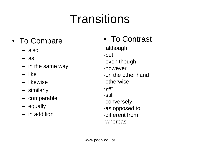### **Transitions**

- To Compare
	- also
	- as
	- in the same way
	- like
	- likewise
	- similarly
	- comparable
	- equally
	- in addition

• To Contrast -although -but -even though -however -on the other hand -otherwise -yet -still -conversely -as opposed to -different from -whereas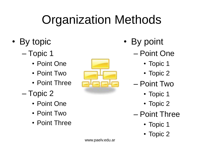## Organization Methods

- By topic
	- Topic 1
		- Point One
		- Point Two
		- Point Three
	- Topic 2
		- Point One
		- Point Two
		- Point Three



- By point
	- Point One
		- Topic 1
		- Topic 2
	- Point Two
		- Topic 1
		- Topic 2
	- Point Three
		- Topic 1
		- Topic 2

www.paelv.edu.ar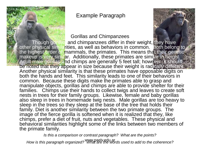Example Paragraph

#### Gorillas and Chimpanzees

Though gorillas and chimpanzees differ in their weight, they have [other physical similar](http://de.wikipedia.org/wiki/Bild:Male_silverback_Gorilla.JPG)ities, as well as behaviors in common. Both belong to the highest order of mammals, the primates. This means that their genetic makeup is very similar. Additionally, these primates are similar in height. Adult male gorillas and chimps are generally 5 feet tall; however, it should be noted that they appear in size because their weight is radically different. Another physical similarity is that these primates have opposable digits on both the hands and feet. This similarity leads to one of their behaviors in common. Because these digits make the primates able to grasp and manipulate objects, gorillas and chimps are able to provide shelter for their families. Chimps use their hands to collect twigs and leaves to create soft nests in trees for their family groups. Likewise, female and baby gorillas also sleep in trees in homemade twig nests. Male gorillas are too heavy to sleep in the trees so they sleep at the base of the tree that holds their family. Diet is another similarity between the two primate groups. The image of the fierce gorilla is softened when it is realized that they, like chimps, prefer a diet of fruit, nuts and vegetables. These physical and behavioral similarities highlight some of the links between two members of the primate family.

*Is this a comparison or contrast paragraph? What are the points?* 

*How is this paragraph organized?* WWW.paely.edu.are the words used to add to the coherence?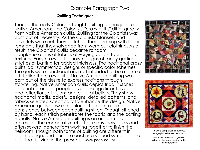#### Example Paragraph Two

#### **Quilting Techniques**

Though the early Colonists taught quilting techniques to Native Americans, the Colonists' "crazy quilts" differ greatly from Native American quilts. Quilting for the Colonists was born out of necessity. As the Colonists' blankets and coverlets wore out, they patched their bedding with fabric remnants that they salvaged from worn-out clothing. As a result, the Colonists' quilts became random conglomerations of fabrics of varying colors, fabrics, and textures. Early crazy quilts show no signs of fancy quilting stitches or batting for added thickness. The traditional crazy quilts lack symmetrical designs or specific color schemes. The quilts were functional and not intended to be a form of art. Unlike the crazy quilts, Native American quilting was born out of the desire to express traditions through storytelling. Native American quilts depict tribal histories, pictorial records of people's lives and significant events, and reflections of visions and cultural beliefs. They show traditional motifs, colorful designs, detailed patterns, and fabrics selected specifically to enhance the design. Native American quilts show meticulous attention to the consistency between each quilting stitch. Though stitched by hand, each stitch penetrates the fabric and the batting equally. Native American quilting is an art form that represents the cooperative effort of many individuals and often several generations working together to finish the heirloom. Though both forms of quilting are different in origin, design, and purpose each is a valued symbol of the past that is living in the present. www.paelv.edu.ar





Is this a comparison or contrast paragraph? What are the points?

How is this paragraph organized? What are the words used to add to the coherence?